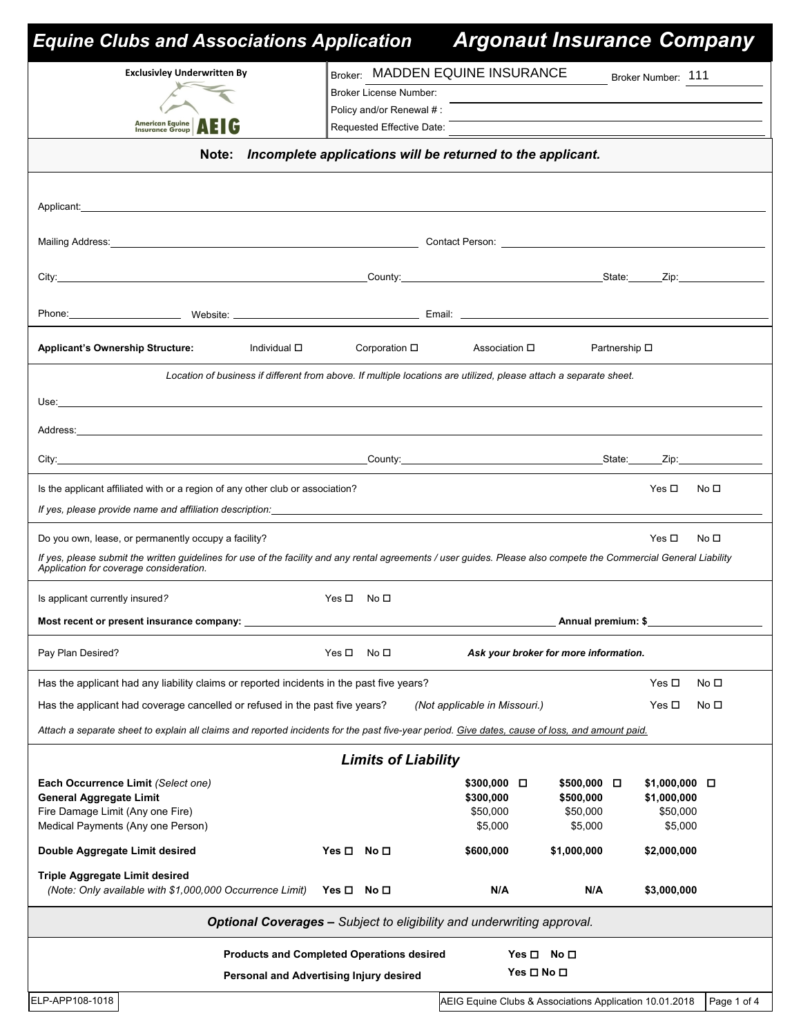| <b>Equine Clubs and Associations Application</b>                                                                                                                                                                                                                      |                            |                            |                                        | <b>Argonaut Insurance Company</b>                       |                        |                 |  |  |
|-----------------------------------------------------------------------------------------------------------------------------------------------------------------------------------------------------------------------------------------------------------------------|----------------------------|----------------------------|----------------------------------------|---------------------------------------------------------|------------------------|-----------------|--|--|
| <b>Exclusivley Underwritten By</b>                                                                                                                                                                                                                                    |                            |                            | <b>Broker: MADDEN EQUINE INSURANCE</b> |                                                         | Broker Number: 111     |                 |  |  |
|                                                                                                                                                                                                                                                                       |                            | Broker License Number:     |                                        |                                                         |                        |                 |  |  |
| <b>American Equine</b><br>Insurance Group                                                                                                                                                                                                                             |                            | Policy and/or Renewal #:   |                                        |                                                         |                        |                 |  |  |
|                                                                                                                                                                                                                                                                       |                            | Requested Effective Date:  |                                        |                                                         |                        |                 |  |  |
| Incomplete applications will be returned to the applicant.<br>Note:                                                                                                                                                                                                   |                            |                            |                                        |                                                         |                        |                 |  |  |
| Applicant: the contract of the contract of the contract of the contract of the contract of the contract of the contract of the contract of the contract of the contract of the contract of the contract of the contract of the                                        |                            |                            |                                        |                                                         |                        |                 |  |  |
| Mailing Address: <u>Andre Contact Person:</u> Contact Person: <b>Contact Person:</b> Contact Person: 2008. The Contact Person: 2008. The Contact Person: 2008. The Contact Person: 2008. The Contact Person: 2008. The Contact Person: 2                              |                            |                            |                                        |                                                         |                        |                 |  |  |
|                                                                                                                                                                                                                                                                       |                            |                            |                                        |                                                         |                        |                 |  |  |
| Phone: Website: Website: Website: 2008 Phone: 2008 Phone: 2008 Phone: 2008 Phone: 2008 Phone: 2008 Phone: 2008 Phone: 2008 Phone: 2008 Phone: 2008 Phone: 2008 Phone: 2008 Phone: 2008 Phone: 2008 Phone: 2008 Phone: 2008 Pho                                        |                            |                            |                                        |                                                         |                        |                 |  |  |
| <b>Applicant's Ownership Structure:</b><br>Individual □                                                                                                                                                                                                               |                            | Corporation $\square$      | Association <b>□</b>                   | Partnership □                                           |                        |                 |  |  |
| Location of business if different from above. If multiple locations are utilized, please attach a separate sheet.                                                                                                                                                     |                            |                            |                                        |                                                         |                        |                 |  |  |
|                                                                                                                                                                                                                                                                       |                            |                            |                                        |                                                         |                        |                 |  |  |
|                                                                                                                                                                                                                                                                       |                            |                            |                                        |                                                         |                        |                 |  |  |
|                                                                                                                                                                                                                                                                       |                            |                            |                                        |                                                         |                        |                 |  |  |
| Is the applicant affiliated with or a region of any other club or association?                                                                                                                                                                                        |                            |                            |                                        |                                                         | Yes □                  | No <sub>1</sub> |  |  |
| If yes, please provide name and affiliation description: <b>Alternative and a set of the set of the set of the set of the set of the set of the set of the set of the set of the set of the set of the set of the set of the set</b>                                  |                            |                            |                                        |                                                         |                        |                 |  |  |
|                                                                                                                                                                                                                                                                       |                            |                            |                                        |                                                         |                        |                 |  |  |
| Do you own, lease, or permanently occupy a facility?<br>If yes, please submit the written guidelines for use of the facility and any rental agreements / user guides. Please also compete the Commercial General Liability<br>Application for coverage consideration. |                            |                            |                                        |                                                         | Yes □                  | No □            |  |  |
| Is applicant currently insured?                                                                                                                                                                                                                                       | $Yes \Box$ No $\Box$       |                            |                                        |                                                         |                        |                 |  |  |
| Most recent or present insurance company:                                                                                                                                                                                                                             |                            |                            |                                        | Annual premium: \$                                      |                        |                 |  |  |
| Pay Plan Desired?                                                                                                                                                                                                                                                     | Yes $\Box$                 | No □                       |                                        | Ask your broker for more information.                   |                        |                 |  |  |
| Has the applicant had any liability claims or reported incidents in the past five years?                                                                                                                                                                              |                            |                            |                                        |                                                         | Yes $\Box$             | No <sub>1</sub> |  |  |
| Has the applicant had coverage cancelled or refused in the past five years?                                                                                                                                                                                           |                            |                            | (Not applicable in Missouri.)          |                                                         | Yes $\square$          | No □            |  |  |
| Attach a separate sheet to explain all claims and reported incidents for the past five-year period. Give dates, cause of loss, and amount paid.                                                                                                                       |                            |                            |                                        |                                                         |                        |                 |  |  |
|                                                                                                                                                                                                                                                                       |                            | <b>Limits of Liability</b> |                                        |                                                         |                        |                 |  |  |
| Each Occurrence Limit (Select one)                                                                                                                                                                                                                                    |                            |                            | $$300,000$ $\Box$                      | $$500,000$ $\square$                                    | $$1,000,000$ $\square$ |                 |  |  |
| <b>General Aggregate Limit</b>                                                                                                                                                                                                                                        |                            |                            | \$300,000                              | \$500,000                                               | \$1,000,000            |                 |  |  |
| Fire Damage Limit (Any one Fire)<br>Medical Payments (Any one Person)                                                                                                                                                                                                 |                            |                            | \$50,000<br>\$5,000                    | \$50,000<br>\$5,000                                     | \$50,000<br>\$5,000    |                 |  |  |
|                                                                                                                                                                                                                                                                       | $Yes \Box No \Box$         |                            | \$600,000                              | \$1,000,000                                             | \$2,000,000            |                 |  |  |
| Double Aggregate Limit desired                                                                                                                                                                                                                                        |                            |                            |                                        |                                                         |                        |                 |  |  |
| <b>Triple Aggregate Limit desired</b><br>(Note: Only available with \$1,000,000 Occurrence Limit)                                                                                                                                                                     | Yes $\square$ No $\square$ |                            | N/A                                    | N/A                                                     | \$3,000,000            |                 |  |  |
| Optional Coverages - Subject to eligibility and underwriting approval.                                                                                                                                                                                                |                            |                            |                                        |                                                         |                        |                 |  |  |
| <b>Products and Completed Operations desired</b><br>Yes <b>□</b><br>No □                                                                                                                                                                                              |                            |                            |                                        |                                                         |                        |                 |  |  |
| Personal and Advertising Injury desired                                                                                                                                                                                                                               |                            |                            |                                        | Yes □ No □                                              |                        |                 |  |  |
| ELP-APP108-1018                                                                                                                                                                                                                                                       |                            |                            |                                        | AEIG Equine Clubs & Associations Application 10.01.2018 |                        | Page 1 of 4     |  |  |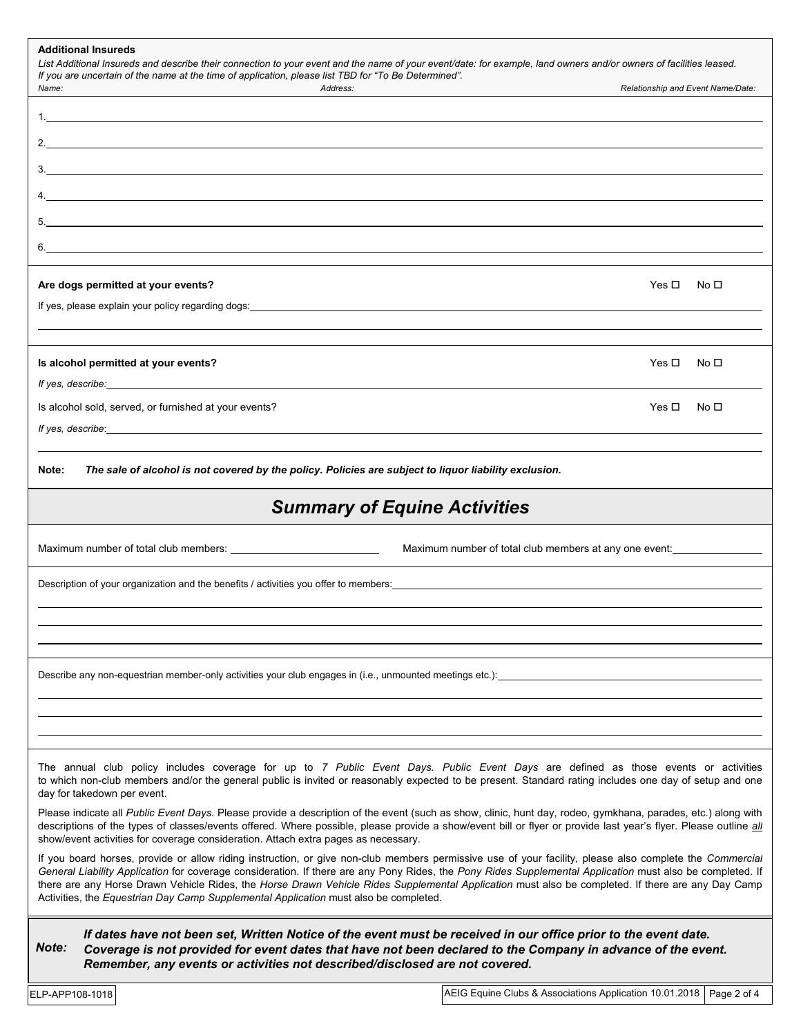| Name:                               | <b>Additional Insureds</b><br>List Additional Insureds and describe their connection to your event and the name of your event/date: for example, land owners and/or owners of facilities leased.<br>If you are uncertain of the name at the time of application, please list TBD for "To Be Determined".<br>Address:                                                                                                                                                                                                                                              | Relationship and Event Name/Date: |                 |  |  |
|-------------------------------------|-------------------------------------------------------------------------------------------------------------------------------------------------------------------------------------------------------------------------------------------------------------------------------------------------------------------------------------------------------------------------------------------------------------------------------------------------------------------------------------------------------------------------------------------------------------------|-----------------------------------|-----------------|--|--|
|                                     |                                                                                                                                                                                                                                                                                                                                                                                                                                                                                                                                                                   |                                   |                 |  |  |
|                                     |                                                                                                                                                                                                                                                                                                                                                                                                                                                                                                                                                                   |                                   |                 |  |  |
|                                     |                                                                                                                                                                                                                                                                                                                                                                                                                                                                                                                                                                   |                                   |                 |  |  |
|                                     |                                                                                                                                                                                                                                                                                                                                                                                                                                                                                                                                                                   |                                   |                 |  |  |
|                                     | <u> 1989 - Johann Stoff, amerikansk politiker (d. 1989)</u>                                                                                                                                                                                                                                                                                                                                                                                                                                                                                                       |                                   |                 |  |  |
|                                     |                                                                                                                                                                                                                                                                                                                                                                                                                                                                                                                                                                   |                                   |                 |  |  |
|                                     | and the control of the control of the control of the control of the control of the control of the control of the                                                                                                                                                                                                                                                                                                                                                                                                                                                  |                                   |                 |  |  |
|                                     | Are dogs permitted at your events?                                                                                                                                                                                                                                                                                                                                                                                                                                                                                                                                | Yes □                             | No $\square$    |  |  |
|                                     | If yes, please explain your policy regarding dogs: Note that the state of the state of the state of the state o                                                                                                                                                                                                                                                                                                                                                                                                                                                   |                                   |                 |  |  |
|                                     |                                                                                                                                                                                                                                                                                                                                                                                                                                                                                                                                                                   |                                   |                 |  |  |
|                                     | Is alcohol permitted at your events?                                                                                                                                                                                                                                                                                                                                                                                                                                                                                                                              | Yes □                             | No <sub>1</sub> |  |  |
|                                     |                                                                                                                                                                                                                                                                                                                                                                                                                                                                                                                                                                   |                                   |                 |  |  |
|                                     | Is alcohol sold, served, or furnished at your events?                                                                                                                                                                                                                                                                                                                                                                                                                                                                                                             | Yes □                             | No $\square$    |  |  |
|                                     |                                                                                                                                                                                                                                                                                                                                                                                                                                                                                                                                                                   |                                   |                 |  |  |
| Note:                               | The sale of alcohol is not covered by the policy. Policies are subject to liquor liability exclusion.                                                                                                                                                                                                                                                                                                                                                                                                                                                             |                                   |                 |  |  |
| <b>Summary of Equine Activities</b> |                                                                                                                                                                                                                                                                                                                                                                                                                                                                                                                                                                   |                                   |                 |  |  |
|                                     | Maximum number of total club members at any one event:<br>                                                                                                                                                                                                                                                                                                                                                                                                                                                                                                        |                                   |                 |  |  |
|                                     | Description of your organization and the benefits / activities you offer to members: example and the state of the state of the state of the state of the state of the state of the state of the state of the state of the stat                                                                                                                                                                                                                                                                                                                                    |                                   |                 |  |  |
|                                     |                                                                                                                                                                                                                                                                                                                                                                                                                                                                                                                                                                   |                                   |                 |  |  |
|                                     |                                                                                                                                                                                                                                                                                                                                                                                                                                                                                                                                                                   |                                   |                 |  |  |
|                                     |                                                                                                                                                                                                                                                                                                                                                                                                                                                                                                                                                                   |                                   |                 |  |  |
|                                     | Describe any non-equestrian member-only activities your club engages in (i.e., unmounted meetings etc.):                                                                                                                                                                                                                                                                                                                                                                                                                                                          |                                   |                 |  |  |
|                                     |                                                                                                                                                                                                                                                                                                                                                                                                                                                                                                                                                                   |                                   |                 |  |  |
|                                     |                                                                                                                                                                                                                                                                                                                                                                                                                                                                                                                                                                   |                                   |                 |  |  |
|                                     | The annual club policy includes coverage for up to 7 Public Event Days. Public Event Days are defined as those events or activities<br>to which non-club members and/or the general public is invited or reasonably expected to be present. Standard rating includes one day of setup and one<br>day for takedown per event.                                                                                                                                                                                                                                      |                                   |                 |  |  |
|                                     | Please indicate all Public Event Days. Please provide a description of the event (such as show, clinic, hunt day, rodeo, gymkhana, parades, etc.) along with<br>descriptions of the types of classes/events offered. Where possible, please provide a show/event bill or flyer or provide last year's flyer. Please outline all<br>show/event activities for coverage consideration. Attach extra pages as necessary.                                                                                                                                             |                                   |                 |  |  |
|                                     | If you board horses, provide or allow riding instruction, or give non-club members permissive use of your facility, please also complete the Commercial<br>General Liability Application for coverage consideration. If there are any Pony Rides, the Pony Rides Supplemental Application must also be completed. If<br>there are any Horse Drawn Vehicle Rides, the Horse Drawn Vehicle Rides Supplemental Application must also be completed. If there are any Day Camp<br>Activities, the Equestrian Day Camp Supplemental Application must also be completed. |                                   |                 |  |  |
| Note:                               | If dates have not been set, Written Notice of the event must be received in our office prior to the event date.<br>Coverage is not provided for event dates that have not been declared to the Company in advance of the event.<br>Remember, any events or activities not described/disclosed are not covered.                                                                                                                                                                                                                                                    |                                   |                 |  |  |
|                                     |                                                                                                                                                                                                                                                                                                                                                                                                                                                                                                                                                                   |                                   |                 |  |  |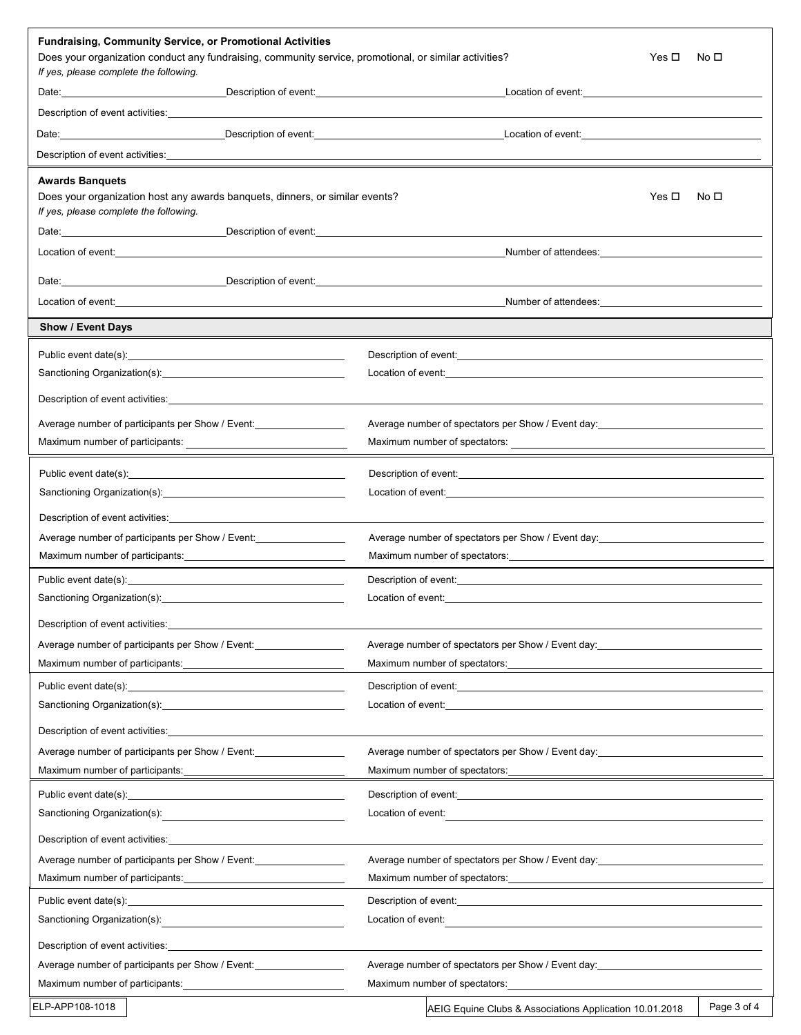| Fundraising, Community Service, or Promotional Activities<br>Does your organization conduct any fundraising, community service, promotional, or similar activities?<br>If yes, please complete the following.                                                                                                 | Yes □                                                                                                                                                                                                                                                                                                                                                                                                                                                                  | No □        |  |  |  |
|---------------------------------------------------------------------------------------------------------------------------------------------------------------------------------------------------------------------------------------------------------------------------------------------------------------|------------------------------------------------------------------------------------------------------------------------------------------------------------------------------------------------------------------------------------------------------------------------------------------------------------------------------------------------------------------------------------------------------------------------------------------------------------------------|-------------|--|--|--|
|                                                                                                                                                                                                                                                                                                               | Date: <u>Description of event:</u> example of the contract of the contract of the contract of the contract of the contract of the contract of the contract of the contract of the contract of the contract of the contract of the c                                                                                                                                                                                                                                    |             |  |  |  |
| Description of event activities: Note that the set of the set of the set of the set of the set of the set of the set of the set of the set of the set of the set of the set of the set of the set of the set of the set of the                                                                                |                                                                                                                                                                                                                                                                                                                                                                                                                                                                        |             |  |  |  |
| Date: <u>Description</u> of event: <b>CONFINGITY</b> DESCRIPTION OF EVENTS AND THE RESERVE OF A SERVE OF A SERVE OF A SERVE OF A SERVE OF A SERVE OF A SERVE OF A SERVE OF A SERVE OF A SERVE OF A SERVE OF A SERVE OF A SERVE OF A SERV                                                                      |                                                                                                                                                                                                                                                                                                                                                                                                                                                                        |             |  |  |  |
| Description of event activities: <b>Example 2018</b> and 2019 12:30 and 2019 12:30 and 2019 12:30 and 2019 12:30 and 2019 12:30 and 2019 12:30 and 2019 12:30 and 2019 12:30 and 2019 12:30 and 2019 12:30 and 2019 12:30 and 2019                                                                            |                                                                                                                                                                                                                                                                                                                                                                                                                                                                        |             |  |  |  |
| <b>Awards Banquets</b>                                                                                                                                                                                                                                                                                        |                                                                                                                                                                                                                                                                                                                                                                                                                                                                        |             |  |  |  |
| Does your organization host any awards banquets, dinners, or similar events?<br>If yes, please complete the following.                                                                                                                                                                                        | Yes □                                                                                                                                                                                                                                                                                                                                                                                                                                                                  | No □        |  |  |  |
| Description of event: example and the Description of event: example and the state of the state of the state of the state of the state of the state of the state of the state of the state of the state of the state of the sta                                                                                |                                                                                                                                                                                                                                                                                                                                                                                                                                                                        |             |  |  |  |
| Location of event: the contract of the contract of the contract of the contract of the contract of the contract of the contract of the contract of the contract of the contract of the contract of the contract of the contrac                                                                                | Number of attendees: Number of attendees:                                                                                                                                                                                                                                                                                                                                                                                                                              |             |  |  |  |
|                                                                                                                                                                                                                                                                                                               |                                                                                                                                                                                                                                                                                                                                                                                                                                                                        |             |  |  |  |
|                                                                                                                                                                                                                                                                                                               | Number of attendees: example and a series of a series of a series of a series of a series of a series of a series of a series of a series of a series of a series of a series of a series of a series of a series of a series                                                                                                                                                                                                                                          |             |  |  |  |
|                                                                                                                                                                                                                                                                                                               |                                                                                                                                                                                                                                                                                                                                                                                                                                                                        |             |  |  |  |
| Show / Event Days                                                                                                                                                                                                                                                                                             |                                                                                                                                                                                                                                                                                                                                                                                                                                                                        |             |  |  |  |
|                                                                                                                                                                                                                                                                                                               | Description of event: <u>contract and contract and contract and contract and contract and contract and contract and contract and contract and contract and contract and contract and contract and contract and contract and cont</u>                                                                                                                                                                                                                                   |             |  |  |  |
| Sanctioning Organization(s): 2008 2012 2022 2023 2024 2022 2023 2024 2022 2023 2024 2022 2023 2024 2022 2023 20                                                                                                                                                                                               | Location of event: experience and a series of the series of the series of the series of the series of the series of the series of the series of the series of the series of the series of the series of the series of the seri                                                                                                                                                                                                                                         |             |  |  |  |
| Description of event activities:<br><u>Description</u> of event activities:                                                                                                                                                                                                                                   |                                                                                                                                                                                                                                                                                                                                                                                                                                                                        |             |  |  |  |
| Average number of participants per Show / Event:                                                                                                                                                                                                                                                              | Average number of spectators per Show / Event day: _____________________________                                                                                                                                                                                                                                                                                                                                                                                       |             |  |  |  |
|                                                                                                                                                                                                                                                                                                               |                                                                                                                                                                                                                                                                                                                                                                                                                                                                        |             |  |  |  |
|                                                                                                                                                                                                                                                                                                               |                                                                                                                                                                                                                                                                                                                                                                                                                                                                        |             |  |  |  |
|                                                                                                                                                                                                                                                                                                               | Description of event: the contract of the contract of the contract of the contract of the contract of the contract of the contract of the contract of the contract of the contract of the contract of the contract of the cont<br>Location of event: <u>contract and a series of the series of the series of the series of the series of the series of the series of the series of the series of the series of the series of the series of the series of the serie</u> |             |  |  |  |
|                                                                                                                                                                                                                                                                                                               |                                                                                                                                                                                                                                                                                                                                                                                                                                                                        |             |  |  |  |
| Description of event activities: Notifies: Note and the set of the set of the set of the set of the set of the set of the set of the set of the set of the set of the set of the set of the set of the set of the set of the s                                                                                |                                                                                                                                                                                                                                                                                                                                                                                                                                                                        |             |  |  |  |
| Average number of participants per Show / Event:                                                                                                                                                                                                                                                              | Average number of spectators per Show / Event day: _____________________________                                                                                                                                                                                                                                                                                                                                                                                       |             |  |  |  |
|                                                                                                                                                                                                                                                                                                               | Maximum number of spectators:                                                                                                                                                                                                                                                                                                                                                                                                                                          |             |  |  |  |
| Public event date(s): Notice that the set of the set of the set of the set of the set of the set of the set of the set of the set of the set of the set of the set of the set of the set of the set of the set of the set of t                                                                                | Description of event: experience of the state of the state of the state of the state of the state of the state of the state of the state of the state of the state of the state of the state of the state of the state of the                                                                                                                                                                                                                                          |             |  |  |  |
|                                                                                                                                                                                                                                                                                                               |                                                                                                                                                                                                                                                                                                                                                                                                                                                                        |             |  |  |  |
| Description of event activities:                                                                                                                                                                                                                                                                              |                                                                                                                                                                                                                                                                                                                                                                                                                                                                        |             |  |  |  |
| Average number of participants per Show / Event:                                                                                                                                                                                                                                                              | Average number of spectators per Show / Event day: North Contract to the contract of the state of the state of the state of the state of the state of the state of the state of the state of the state of the state of the sta                                                                                                                                                                                                                                         |             |  |  |  |
| Maximum number of participants:<br><u>Capacitan and the contract of participants:</u>                                                                                                                                                                                                                         |                                                                                                                                                                                                                                                                                                                                                                                                                                                                        |             |  |  |  |
|                                                                                                                                                                                                                                                                                                               |                                                                                                                                                                                                                                                                                                                                                                                                                                                                        |             |  |  |  |
| Sanctioning Organization(s):                                                                                                                                                                                                                                                                                  | Location of event: the contract of the contract of the contract of the contract of the contract of the contract of the contract of the contract of the contract of the contract of the contract of the contract of the contrac                                                                                                                                                                                                                                         |             |  |  |  |
| Description of event activities: Note that the set of the set of the set of the set of the set of the set of the set of the set of the set of the set of the set of the set of the set of the set of the set of the set of the                                                                                |                                                                                                                                                                                                                                                                                                                                                                                                                                                                        |             |  |  |  |
| Average number of participants per Show / Event: _______________________________                                                                                                                                                                                                                              | Average number of spectators per Show / Event day: _____________________________                                                                                                                                                                                                                                                                                                                                                                                       |             |  |  |  |
| Maximum number of participants:                                                                                                                                                                                                                                                                               | Maximum number of spectators:                                                                                                                                                                                                                                                                                                                                                                                                                                          |             |  |  |  |
|                                                                                                                                                                                                                                                                                                               |                                                                                                                                                                                                                                                                                                                                                                                                                                                                        |             |  |  |  |
| Sanctioning Organization(s):<br>Location of event:                                                                                                                                                                                                                                                            |                                                                                                                                                                                                                                                                                                                                                                                                                                                                        |             |  |  |  |
| Description of event activities: Notified and the set of the set of the set of the set of the set of the set of the set of the set of the set of the set of the set of the set of the set of the set of the set of the set of                                                                                 |                                                                                                                                                                                                                                                                                                                                                                                                                                                                        |             |  |  |  |
|                                                                                                                                                                                                                                                                                                               |                                                                                                                                                                                                                                                                                                                                                                                                                                                                        |             |  |  |  |
|                                                                                                                                                                                                                                                                                                               | Average number of participants per Show / Event:<br>Average number of spectators per Show / Event day: _____________________________<br>Maximum number of spectators: Notice of the state of the state of the state of the state of the state of the state of the state of the state of the state of the state of the state of the state of the state of the state of                                                                                                  |             |  |  |  |
|                                                                                                                                                                                                                                                                                                               |                                                                                                                                                                                                                                                                                                                                                                                                                                                                        |             |  |  |  |
| Description of event:<br><u>Description</u> of event:<br>Public event date(s): Notice and the set of the set of the set of the set of the set of the set of the set of the set of the set of the set of the set of the set of the set of the set of the set of the set of the set of th<br>Location of event: |                                                                                                                                                                                                                                                                                                                                                                                                                                                                        |             |  |  |  |
|                                                                                                                                                                                                                                                                                                               |                                                                                                                                                                                                                                                                                                                                                                                                                                                                        |             |  |  |  |
|                                                                                                                                                                                                                                                                                                               |                                                                                                                                                                                                                                                                                                                                                                                                                                                                        |             |  |  |  |
| Average number of spectators per Show / Event day: _____________________________<br>Average number of participants per Show / Event:                                                                                                                                                                          |                                                                                                                                                                                                                                                                                                                                                                                                                                                                        |             |  |  |  |
|                                                                                                                                                                                                                                                                                                               |                                                                                                                                                                                                                                                                                                                                                                                                                                                                        |             |  |  |  |
| ELP-APP108-1018                                                                                                                                                                                                                                                                                               | AEIG Equine Clubs & Associations Application 10.01.2018                                                                                                                                                                                                                                                                                                                                                                                                                | Page 3 of 4 |  |  |  |